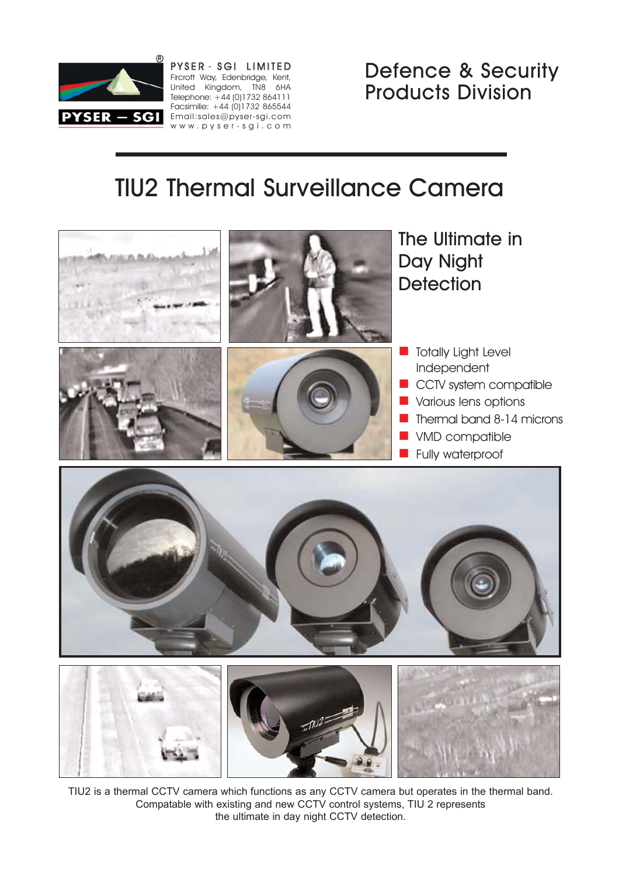

PYSER - SGI LIMITED Fircroft Way, Edenbridge, Kent, United Kingdom, TN8 6HA Telephone: +44 (0)1732 864111 Facsimilie: +44 (0)1732 865544 PYSER - SGI Email:sales@pyser-sgi.com www.pyser-sgi.com Defence & Security Products Division

# TIU2 Thermal Surveillance Camera



TIU2 is a thermal CCTV camera which functions as any CCTV camera but operates in the thermal band. Compatable with existing and new CCTV control systems, TIU 2 represents the ultimate in day night CCTV detection.